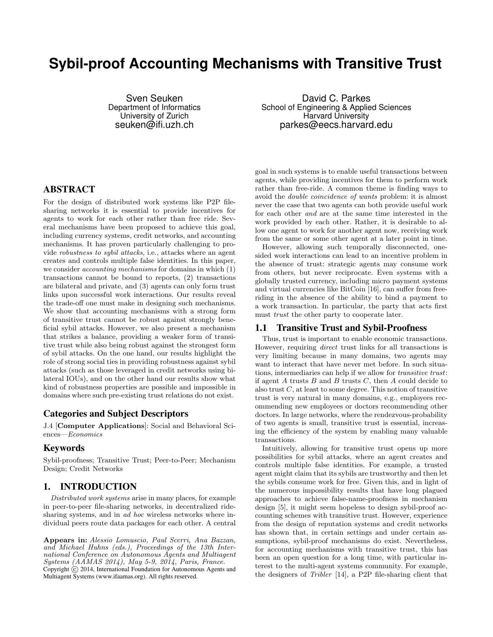# **Sybil-proof Accounting Mechanisms with Transitive Trust**

Sven Seuken Department of Informatics University of Zurich seuken@ifi.uzh.ch

ABSTRACT

For the design of distributed work systems like P2P filesharing networks it is essential to provide incentives for agents to work for each other rather than free ride. Several mechanisms have been proposed to achieve this goal, including currency systems, credit networks, and accounting mechanisms. It has proven particularly challenging to provide robustness to sybil attacks, i.e., attacks where an agent creates and controls multiple false identities. In this paper, we consider accounting mechanisms for domains in which (1) transactions cannot be bound to reports, (2) transactions are bilateral and private, and (3) agents can only form trust links upon successful work interactions. Our results reveal the trade-off one must make in designing such mechanisms. We show that accounting mechanisms with a strong form of transitive trust cannot be robust against strongly beneficial sybil attacks. However, we also present a mechanism that strikes a balance, providing a weaker form of transitive trust while also being robust against the strongest form of sybil attacks. On the one hand, our results highlight the role of strong social ties in providing robustness against sybil attacks (such as those leveraged in credit networks using bilateral IOUs), and on the other hand our results show what kind of robustness properties are possible and impossible in domains where such pre-existing trust relations do not exist.

## Categories and Subject Descriptors

J.4 [Computer Applications]: Social and Behavioral Sciences—Economics

# Keywords

Sybil-proofness; Transitive Trust; Peer-to-Peer; Mechanism Design; Credit Networks

# 1. INTRODUCTION

Distributed work systems arise in many places, for example in peer-to-peer file-sharing networks, in decentralized ridesharing systems, and in *ad hoc* wireless networks where individual peers route data packages for each other. A central

Appears in: Alessio Lomuscio, Paul Scerri, Ana Bazzan, and Michael Huhns (eds.), Proceedings of the 13th International Conference on Autonomous Agents and Multiagent Systems (AAMAS 2014), May 5-9, 2014, Paris, France. Copyright (c) 2014, International Foundation for Autonomous Agents and Multiagent Systems (www.ifaamas.org). All rights reserved.

David C. Parkes School of Engineering & Applied Sciences Harvard University parkes@eecs.harvard.edu

goal in such systems is to enable useful transactions between agents, while providing incentives for them to perform work rather than free-ride. A common theme is finding ways to avoid the double coincidence of wants problem: it is almost never the case that two agents can both provide useful work for each other and are at the same time interested in the work provided by each other. Rather, it is desirable to allow one agent to work for another agent now, receiving work from the same or some other agent at a later point in time.

However, allowing such temporally disconnected, onesided work interactions can lead to an incentive problem in the absence of trust: strategic agents may consume work from others, but never reciprocate. Even systems with a globally trusted currency, including micro payment systems and virtual currencies like BitCoin [16], can suffer from freeriding in the absence of the ability to bind a payment to a work transaction. In particular, the party that acts first must *trust* the other party to cooperate later.

## 1.1 Transitive Trust and Sybil-Proofness

Thus, trust is important to enable economic transactions. However, requiring direct trust links for all transactions is very limiting because in many domains, two agents may want to interact that have never met before. In such situations, intermediaries can help if we allow for transitive trust: if agent  $A$  trusts  $B$  and  $B$  trusts  $C$ , then  $A$  could decide to also trust  $C$ , at least to some degree. This notion of transitive trust is very natural in many domains, e.g., employees recommending new employees or doctors recommending other doctors. In large networks, where the rendezvous-probability of two agents is small, transitive trust is essential, increasing the efficiency of the system by enabling many valuable transactions.

Intuitively, allowing for transitive trust opens up more possibilities for sybil attacks, where an agent creates and controls multiple false identities. For example, a trusted agent might claim that its sybils are trustworthy and then let the sybils consume work for free. Given this, and in light of the numerous impossibility results that have long plagued approaches to achieve false-name-proofness in mechanism design [5], it might seem hopeless to design sybil-proof accounting schemes with transitive trust. However, experience from the design of reputation systems and credit networks has shown that, in certain settings and under certain assumptions, sybil-proof mechanisms do exist. Nevertheless, for accounting mechanisms with transitive trust, this has been an open question for a long time, with particular interest to the multi-agent systems community. For example, the designers of Tribler [14], a P2P file-sharing client that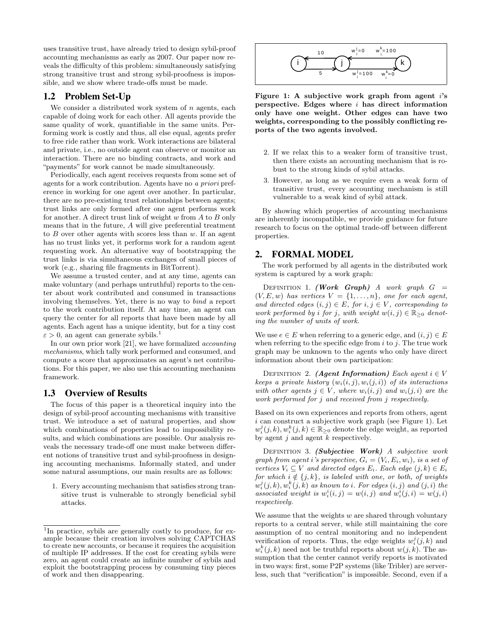uses transitive trust, have already tried to design sybil-proof accounting mechanisms as early as 2007. Our paper now reveals the difficulty of this problem: simultaneously satisfying strong transitive trust and strong sybil-proofness is impossible, and we show where trade-offs must be made.

# 1.2 Problem Set-Up

We consider a distributed work system of  $n$  agents, each capable of doing work for each other. All agents provide the same quality of work, quantifiable in the same units. Performing work is costly and thus, all else equal, agents prefer to free ride rather than work. Work interactions are bilateral and private, i.e., no outside agent can observe or monitor an interaction. There are no binding contracts, and work and "payments" for work cannot be made simultaneously.

Periodically, each agent receives requests from some set of agents for a work contribution. Agents have no a priori preference in working for one agent over another. In particular, there are no pre-existing trust relationships between agents; trust links are only formed after one agent performs work for another. A direct trust link of weight  $w$  from  $A$  to  $B$  only means that in the future, A will give preferential treatment to  $B$  over other agents with scores less than  $w$ . If an agent has no trust links yet, it performs work for a random agent requesting work. An alternative way of bootstrapping the trust links is via simultaneous exchanges of small pieces of work (e.g., sharing file fragments in BitTorrent).

We assume a trusted center, and at any time, agents can make voluntary (and perhaps untruthful) reports to the center about work contributed and consumed in transactions involving themselves. Yet, there is no way to bind a report to the work contribution itself. At any time, an agent can query the center for all reports that have been made by all agents. Each agent has a unique identity, but for a tiny cost  $\varepsilon > 0$ , an agent can generate sybils.<sup>1</sup>

In our own prior work [21], we have formalized *accounting* mechanisms, which tally work performed and consumed, and compute a score that approximates an agent's net contributions. For this paper, we also use this accounting mechanism framework.

## 1.3 Overview of Results

The focus of this paper is a theoretical inquiry into the design of sybil-proof accounting mechanisms with transitive trust. We introduce a set of natural properties, and show which combinations of properties lead to impossibility results, and which combinations are possible. Our analysis reveals the necessary trade-off one must make between different notions of transitive trust and sybil-proofness in designing accounting mechanisms. Informally stated, and under some natural assumptions, our main results are as follows:

1. Every accounting mechanism that satisfies strong transitive trust is vulnerable to strongly beneficial sybil attacks.



Figure 1: A subjective work graph from agent  $i$ 's perspective. Edges where  $i$  has direct information only have one weight. Other edges can have two weights, corresponding to the possibly conflicting reports of the two agents involved.

- 2. If we relax this to a weaker form of transitive trust, then there exists an accounting mechanism that is robust to the strong kinds of sybil attacks.
- 3. However, as long as we require even a weak form of transitive trust, every accounting mechanism is still vulnerable to a weak kind of sybil attack.

By showing which properties of accounting mechanisms are inherently incompatible, we provide guidance for future research to focus on the optimal trade-off between different properties.

#### 2. FORMAL MODEL

The work performed by all agents in the distributed work system is captured by a work graph:

DEFINITION 1. (Work Graph) A work graph  $G =$  $(V, E, w)$  has vertices  $V = \{1, \ldots, n\}$ , one for each agent, and directed edges  $(i, j) \in E$ , for  $i, j \in V$ , corresponding to work performed by i for j, with weight  $w(i, j) \in \mathbb{R}_{\geq 0}$  denoting the number of units of work.

We use  $e \in E$  when referring to a generic edge, and  $(i, j) \in E$ when referring to the specific edge from  $i$  to  $j$ . The true work graph may be unknown to the agents who only have direct information about their own participation:

DEFINITION 2. (Agent Information) Each agent  $i \in V$ keeps a private history  $(w_i(i, j), w_i(j, i))$  of its interactions with other agents  $j \in V$ , where  $w_i(i, j)$  and  $w_i(j, i)$  are the work performed for j and received from j respectively.

Based on its own experiences and reports from others, agent  $i$  can construct a subjective work graph (see Figure 1). Let  $w_i^j(j,k), w_i^k(j,k) \in \mathbb{R}_{\geq 0}$  denote the edge weight, as reported by agent  $j$  and agent  $k$  respectively.

DEFINITION 3. (Subjective Work) A subjective work graph from agent i's perspective,  $G_i = (V_i, E_i, w_i)$ , is a set of vertices  $V_i \subseteq V$  and directed edges  $E_i$ . Each edge  $(j, k) \in E_i$ for which  $i \notin \{j, k\}$ , is labeled with one, or both, of weights  $\big( w_i^j(j,k), w_i^k(j,k) \big)$  as known to  $i.$  For edges  $(i,j)$  and  $(j,i)$  the associated weight is  $w_i^i(i, j) = w(i, j)$  and  $w_i^i(j, i) = w(j, i)$ respectively.

We assume that the weights  $w$  are shared through voluntary reports to a central server, while still maintaining the core assumption of no central monitoring and no independent verification of reports. Thus, the edge weights  $w_i^j(j, k)$  and  $w_i^k(j, k)$  need not be truthful reports about  $w(j, k)$ . The assumption that the center cannot verify reports is motivated in two ways: first, some P2P systems (like Tribler) are serverless, such that "verification" is impossible. Second, even if a

<sup>&</sup>lt;sup>1</sup>In practice, sybils are generally costly to produce, for example because their creation involves solving CAPTCHAS to create new accounts, or because it requires the acquisition of multiple IP addresses. If the cost for creating sybils were zero, an agent could create an infinite number of sybils and exploit the bootstrapping process by consuming tiny pieces of work and then disappearing.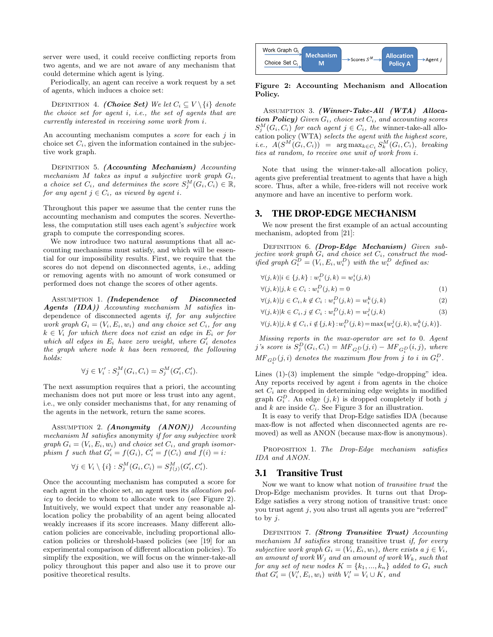server were used, it could receive conflicting reports from two agents, and we are not aware of any mechanism that could determine which agent is lying.

Periodically, an agent can receive a work request by a set of agents, which induces a choice set:

DEFINITION 4. (Choice Set) We let  $C_i \subseteq V \setminus \{i\}$  denote the choice set for agent i, i.e., the set of agents that are currently interested in receiving some work from i.

An accounting mechanism computes a *score* for each j in choice set  $C_i$ , given the information contained in the subjective work graph.

DEFINITION 5. (Accounting Mechanism) Accounting mechanism  $M$  takes as input a subjective work graph  $G_i$ , a choice set  $C_i$ , and determines the score  $S_j^M(G_i, C_i) \in \mathbb{R}$ , for any agent  $j \in C_i$ , as viewed by agent i.

Throughout this paper we assume that the center runs the accounting mechanism and computes the scores. Nevertheless, the computation still uses each agent's subjective work graph to compute the corresponding scores.

We now introduce two natural assumptions that all accounting mechanisms must satisfy, and which will be essential for our impossibility results. First, we require that the scores do not depend on disconnected agents, i.e., adding or removing agents with no amount of work consumed or performed does not change the scores of other agents.

ASSUMPTION 1. (Independence of Disconnected Agents (IDA)) Accounting mechanism M satisfies independence of disconnected agents if, for any subjective work graph  $G_i = (V_i, E_i, w_i)$  and any choice set  $C_i$ , for any  $k \in V_i$  for which there does not exist an edge in  $E_i$  or for which all edges in  $E_i$  have zero weight, where  $G'_i$  denotes the graph where node k has been removed, the following holds:

$$
\forall j \in V'_i : S_j^M(G_i, C_i) = S_j^M(G'_i, C'_i).
$$

The next assumption requires that a priori, the accounting mechanism does not put more or less trust into any agent, i.e., we only consider mechanisms that, for any renaming of the agents in the network, return the same scores.

ASSUMPTION 2.  $(Anonymity (ANON))$  Accounting mechanism M satisfies anonymity if for any subjective work graph  $G_i = (V_i, E_i, w_i)$  and choice set  $C_i$ , and graph isomorphism f such that  $G'_i = f(G_i)$ ,  $C'_i = f(C_i)$  and  $f(i) = i$ :

$$
\forall j \in V_i \setminus \{i\} : S_j^M(G_i, C_i) = S_{f(j)}^M(G_i', C_i').
$$

M

Once the accounting mechanism has computed a score for each agent in the choice set, an agent uses its allocation policy to decide to whom to allocate work to (see Figure 2). Intuitively, we would expect that under any reasonable allocation policy the probability of an agent being allocated weakly increases if its score increases. Many different allocation policies are conceivable, including proportional allocation policies or threshold-based policies (see [19] for an experimental comparison of different allocation policies). To simplify the exposition, we will focus on the winner-take-all policy throughout this paper and also use it to prove our positive theoretical results.



#### Figure 2: Accounting Mechanism and Allocation Policy.

Assumption 3. (Winner-Take-All (WTA) Allocation Policy) Given  $G_i$ , choice set  $C_i$ , and accounting scores  $S_j^M(G_i, C_i)$  for each agent  $j \in C_i$ , the winner-take-all allocation policy (WTA) selects the agent with the highest score,  $(i.e., A(S^M(G_i, C_i)) = \arg \max_{k \in C_i} S_k^M(G_i, C_i), \text{ breaking}$ ties at random, to receive one unit of work from i.

Note that using the winner-take-all allocation policy, agents give preferential treatment to agents that have a high score. Thus, after a while, free-riders will not receive work anymore and have an incentive to perform work.

#### 3. THE DROP-EDGE MECHANISM

We now present the first example of an actual accounting mechanism, adopted from [21]:

DEFINITION 6. (Drop-Edge Mechanism) Given subjective work graph  $G_i$  and choice set  $C_i$ , construct the modified graph  $G_i^D = (V_i, E_i, w_i^D)$  with the  $w_i^D$  defined as:

$$
\forall (j,k)|i \in \{j,k\} : w_i^D(j,k) = w_i^i(j,k)
$$
  

$$
\forall (j,k)|j,k \in C_i : w_i^D(j,k) = 0
$$
  

$$
\forall (j,k)|j,k \in C_i, j \neq C_j, P(i,k) = k(i,k)
$$

$$
\forall (j,k)|j \in C_i, k \notin C_i : w_i^D(j,k) = w_i^k(j,k)
$$
\n
$$
(2)
$$

$$
\forall (j,k)|k \in C_i, j \notin C_i : w_i^D(j,k) = w_i^j(j,k)
$$
\n
$$
(3)
$$

$$
\forall (j,k) | j, k \notin C_i, i \notin \{j,k\} : w_i^D(j,k) = \max\{w_i^j(j,k), w_i^k(j,k)\}.
$$

Missing reports in the max-operator are set to 0. Agent j's score is  $S_j^D(G_i, C_i) = MF_{G_i^D}(j, i) - MF_{G_i^D}(i, j)$ , where  $\textit{MF}_{G_i^D}(j,i)$  denotes the maximum flow from j to i in  $G_i^D$ .

Lines  $(1)-(3)$  implement the simple "edge-dropping" idea. Any reports received by agent i from agents in the choice set  $C_i$  are dropped in determining edge weights in modified graph  $G_i^D$ . An edge  $(j, k)$  is dropped completely if both j and  $k$  are inside  $C_i$ . See Figure 3 for an illustration.

It is easy to verify that Drop-Edge satisfies IDA (because max-flow is not affected when disconnected agents are removed) as well as ANON (because max-flow is anonymous).

PROPOSITION 1. The Drop-Edge mechanism satisfies IDA and ANON.

## 3.1 Transitive Trust

Now we want to know what notion of transitive trust the Drop-Edge mechanism provides. It turns out that Drop-Edge satisfies a very strong notion of transitive trust: once you trust agent j, you also trust all agents you are "referred" to by  $j$ .

DEFINITION 7. (Strong Transitive Trust) Accounting mechanism M satisfies strong transitive trust if, for every subjective work graph  $G_i = (V_i, E_i, w_i)$ , there exists a  $j \in V_i$ , an amount of work  $W_j$  and an amount of work  $W_k$ , such that for any set of new nodes  $K = \{k_1, ..., k_n\}$  added to  $G_i$  such that  $G'_i = (V'_i, E_i, w_i)$  with  $V'_i = V_i \cup K$ , and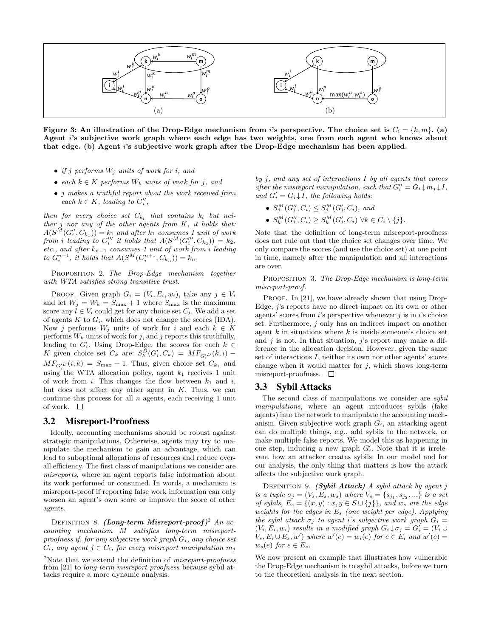

Figure 3: An illustration of the Drop-Edge mechanism from i's perspective. The choice set is  $C_i = \{k, m\}$ . (a) Agent i's subjective work graph where each edge has two weights, one from each agent who knows about that edge. (b) Agent i's subjective work graph after the Drop-Edge mechanism has been applied.

- if j performs  $W_j$  units of work for i, and
- each  $k \in K$  performs  $W_k$  units of work for j, and
- *j* makes a truthful report about the work received from each  $k \in K$ , leading to  $G_i''$ ,

then for every choice set  $C_{k_l}$  that contains  $k_l$  but neither  $j$  nor any of the other agents from  $K$ , it holds that:  $A(S^{\tilde{M}}(G''_i, C_{k_1})) = k_1$  and after  $k_1$  consumes 1 unit of work from i leading to  $G_i'''$  it holds that  $A(S^M(G_i''', C_{k_2})) = k_2$ , etc., and after  $k_{n-1}$  consumes 1 unit of work from i leading to  $G_i^{n+1}$ , it holds that  $A(S^M(G_i^{n+1}, C_{k_n})) = k_n$ .

Proposition 2. The Drop-Edge mechanism together with WTA satisfies strong transitive trust.

PROOF. Given graph  $G_i = (V_i, E_i, w_i)$ , take any  $j \in V_i$ and let  $W_i = W_k = S_{\text{max}} + 1$  where  $S_{\text{max}}$  is the maximum score any  $l \in V_i$  could get for any choice set  $C_i$ . We add a set of agents K to  $G_i$ , which does not change the scores (IDA). Now j performs  $W_j$  units of work for i and each  $k \in K$ performs  $W_k$  units of work for j, and j reports this truthfully, leading to  $G_i'$ . Using Drop-Edge, the scores for each  $k \in$ K given choice set  $C_k$  are:  $S_k^D(G'_i, C_k) = M F_{G'_i} D(k, i)$  –  $MF_{G_2^{'D}}(i,k) = S_{\text{max}} + 1$ . Thus, given choice set  $C_{k_1}$  and using the WTA allocation policy, agent  $k_1$  receives 1 unit of work from i. This changes the flow between  $k_1$  and i, but does not affect any other agent in  $K$ . Thus, we can continue this process for all  $n$  agents, each receiving 1 unit of work.  $\square$ 

#### 3.2 Misreport-Proofness

Ideally, accounting mechanisms should be robust against strategic manipulations. Otherwise, agents may try to manipulate the mechanism to gain an advantage, which can lead to suboptimal allocations of resources and reduce overall efficiency. The first class of manipulations we consider are misreports, where an agent reports false information about its work performed or consumed. In words, a mechanism is misreport-proof if reporting false work information can only worsen an agent's own score or improve the score of other agents.

DEFINITION 8. (Long-term Misreport-proof)<sup>2</sup> An accounting mechanism M satisfies long-term misreportproofness if, for any subjective work graph  $G_i$ , any choice set  $C_i$ , any agent  $j \in C_i$ , for every misreport manipulation  $m_j$ 

by  $j$ , and any set of interactions  $I$  by all agents that comes after the misreport manipulation, such that  $G_i'' = G_i \downarrow m_j \downarrow I$ , and  $G_i' = G_i \downarrow I$ , the following holds:

- $S_j^M(G_i'', C_i) \leq S_j^M(G_i', C_i)$ , and
- $S_k^M(G_i'', C_i) \geq S_k^M(G_i', C_i) \ \forall k \in C_i \setminus \{j\}.$

Note that the definition of long-term misreport-proofness does not rule out that the choice set changes over time. We only compare the scores (and use the choice set) at one point in time, namely after the manipulation and all interactions are over.

PROPOSITION 3. The Drop-Edge mechanism is long-term misreport-proof.

PROOF. In [21], we have already shown that using Drop-Edge, *j*'s reports have no direct impact on its own or other agents' scores from  $i$ 's perspective whenever  $j$  is in  $i$ 's choice set. Furthermore, j only has an indirect impact on another agent  $k$  in situations where  $k$  is inside someone's choice set and  $j$  is not. In that situation,  $j$ 's report may make a difference in the allocation decision. However, given the same set of interactions I, neither its own nor other agents' scores change when it would matter for  $j$ , which shows long-term misreport-proofness.  $\square$ 

## 3.3 Sybil Attacks

The second class of manipulations we consider are sybil manipulations, where an agent introduces sybils (fake agents) into the network to manipulate the accounting mechanism. Given subjective work graph  $G_i$ , an attacking agent can do multiple things, e.g., add sybils to the network, or make multiple false reports. We model this as happening in one step, inducing a new graph  $G_i'$ . Note that it is irrelevant how an attacker creates sybils. In our model and for our analysis, the only thing that matters is how the attack affects the subjective work graph.

DEFINITION 9. (Sybil Attack) A sybil attack by agent j is a tuple  $\sigma_j = (V_s, E_s, w_s)$  where  $V_s = \{s_{j_1}, s_{j_2}, ...\}$  is a set of sybils,  $E_s = \{(x, y) : x, y \in S \cup \{j\}\}\$ , and  $w_s$  are the edge weights for the edges in  $E_s$  (one weight per edge). Applying the sybil attack  $\sigma_i$  to agent i's subjective work graph  $G_i =$  $(V_i, E_i, w_i)$  results in a modified graph  $G_i \downarrow \sigma_j = G'_i = (V_i \cup$  $V_s, E_i \cup E_s, w'$  where  $w'(e) = w_i(e)$  for  $e \in E_i$  and  $w'(e) =$  $w_s(e)$  for  $e \in E_s$ .

We now present an example that illustrates how vulnerable the Drop-Edge mechanism is to sybil attacks, before we turn to the theoretical analysis in the next section.

 $2$ Note that we extend the definition of *misreport-proofness* from [21] to long-term misreport-proofness because sybil attacks require a more dynamic analysis.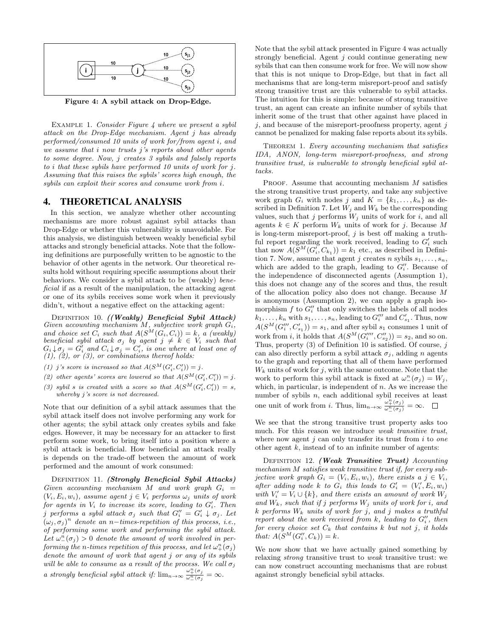

Figure 4: A sybil attack on Drop-Edge.

EXAMPLE 1. Consider Figure 4 where we present a sybil attack on the Drop-Edge mechanism. Agent j has already performed/consumed 10 units of work for/from agent i, and we assume that  $i$  now trusts  $j$ 's reports about other agents to some degree. Now, j creates 3 sybils and falsely reports to i that these sybils have performed 10 units of work for j. Assuming that this raises the sybils' scores high enough, the sybils can exploit their scores and consume work from i.

# 4. THEORETICAL ANALYSIS

In this section, we analyze whether other accounting mechanisms are more robust against sybil attacks than Drop-Edge or whether this vulnerability is unavoidable. For this analysis, we distinguish between weakly beneficial sybil attacks and strongly beneficial attacks. Note that the following definitions are purposefully written to be agnostic to the behavior of other agents in the network. Our theoretical results hold without requiring specific assumptions about their behaviors. We consider a sybil attack to be (weakly) beneficial if as a result of the manipulation, the attacking agent or one of its sybils receives some work when it previously didn't, without a negative effect on the attacking agent:

DEFINITION 10. ((Weakly) Beneficial Sybil Attack) Given accounting mechanism  $M$ , subjective work graph  $G_i$ , and choice set  $C_i$  such that  $A(S^M(G_i, C_i)) = k$ , a (weakly) beneficial sybil attack  $\sigma_j$  by agent  $j \neq k \in V_i$  such that  $G_i \downarrow \sigma_j = G'_i$  and  $C_i \downarrow \sigma_j = C'_i$ , is one where at least one of  $(1), (2),$  or  $(3),$  or combinations thereof holds:

- (1) j's score is increased so that  $A(S^M(G'_i, C'_i)) = j$ .
- (2) other agents' scores are lowered so that  $A(S^M(G_i', C_i')) = j$ .
- (3) sybil s is created with a score so that  $A(S^M(G_i', C_i')) = s$ , whereby j's score is not decreased.

Note that our definition of a sybil attack assumes that the sybil attack itself does not involve performing any work for other agents; the sybil attack only creates sybils and fake edges. However, it may be necessary for an attacker to first perform some work, to bring itself into a position where a sybil attack is beneficial. How beneficial an attack really is depends on the trade-off between the amount of work performed and the amount of work consumed:

DEFINITION 11. (Strongly Beneficial Sybil Attacks) Given accounting mechanism M and work graph  $G_i =$  $(V_i, E_i, w_i)$ , assume agent  $j \in V_i$  performs  $\omega_i$  units of work for agents in  $V_i$  to increase its score, leading to  $G_i'$ . Then i performs a sybil attack  $\sigma_j$  such that  $G_i'' = G_i' \downarrow \sigma_j$ . Let  $(\omega_j, \sigma_j)^n$  denote an n-times-repetition of this process, i.e., of performing some work and performing the sybil attack. Let  $\omega_{-}^{n}(\sigma_{j}) > 0$  denote the amount of work involved in performing the n-times repetition of this process, and let  $\omega_+^n(\sigma_j)$ denote the amount of work that agent j or any of its sybils will be able to consume as a result of the process. We call  $\sigma_j$ a strongly beneficial sybil attack if:  $\lim_{n\to\infty} \frac{\omega_+^n(\sigma_j)}{\omega_-^n(\sigma_j)} = \infty$ .

Note that the sybil attack presented in Figure 4 was actually strongly beneficial. Agent  $j$  could continue generating new sybils that can then consume work for free. We will now show that this is not unique to Drop-Edge, but that in fact all mechanisms that are long-term misreport-proof and satisfy strong transitive trust are this vulnerable to sybil attacks. The intuition for this is simple: because of strong transitive trust, an agent can create an infinite number of sybils that inherit some of the trust that other against have placed in  $j$ , and because of the misreport-proofness property, agent  $j$ cannot be penalized for making false reports about its sybils.

THEOREM 1. Every accounting mechanism that satisfies IDA, ANON, long-term misreport-proofness, and strong transitive trust, is vulnerable to strongly beneficial sybil attacks.

PROOF. Assume that accounting mechanism  $M$  satisfies the strong transitive trust property, and take any subjective work graph  $G_i$  with nodes j and  $K = \{k_1, \ldots, k_n\}$  as described in Definition 7. Let  $W_j$  and  $W_k$  be the corresponding values, such that j performs  $W_j$  units of work for i, and all agents  $k \in K$  perform  $W_k$  units of work for j. Because M is long-term misreport-proof,  $j$  is best off making a truthful report regarding the work received, leading to  $G_i'$  such that now  $A(\overline{S}^M(G_i, C_{k_1})) = k_1$  etc., as described in Definition 7. Now, assume that agent j creates n sybils  $s_1, \ldots, s_n$ , which are added to the graph, leading to  $G''_i$ . Because of the independence of disconnected agents (Assumption 1), this does not change any of the scores and thus, the result of the allocation policy also does not change. Because M is anonymous (Assumption 2), we can apply a graph isomorphism  $f$  to  $G''_i$  that only switches the labels of all nodes  $k_1, \ldots, k_n$  with  $s_1, \ldots, s_n$ , leading to  $G_i'''$  and  $C_{s_1}'$ . Thus, now  $A(S^M(G_i''', C_{s_1}')) = s_1$ , and after sybil  $s_1$  consumes 1 unit of work from *i*, it holds that  $A(S^M(G''''_i, C''_{s_2})) = s_2$ , and so on. Thus, property  $(3)$  of Definition 10 is satisfied. Of course, j can also directly perform a sybil attack  $\sigma_j$ , adding n agents to the graph and reporting that all of them have performed  $W_k$  units of work for j, with the same outcome. Note that the work to perform this sybil attack is fixed at  $\omega_{-}^{n}(\sigma_{j}) = W_{j}$ , which, in particular, is independent of  $n$ . As we increase the number of sybils n, each additional sybil receives at least one unit of work from *i*. Thus,  $\lim_{n\to\infty} \frac{\omega_+^n(\sigma_j)}{\omega_-^n(\sigma_j)} = \infty$ .

We see that the strong transitive trust property asks too much. For this reason we introduce weak transitive trust, where now agent  $j$  can only transfer its trust from  $i$  to one other agent  $k$ , instead of to an infinite number of agents:

DEFINITION 12. (Weak Transitive Trust) Accounting mechanism M satisfies weak transitive trust if, for every subjective work graph  $G_i = (V_i, E_i, w_i)$ , there exists a  $j \in V_i$ , after adding node k to  $G_i$  this leads to  $G'_i = (V'_i, E_i, w_i)$ with  $V_i' = V_i \cup \{k\}$ , and there exists an amount of work  $W_j$ and  $W_k$ , such that if j performs  $W_i$  units of work for i, and k performs  $W_k$  units of work for j, and j makes a truthful report about the work received from  $k$ , leading to  $G''_i$ , then for every choice set  $C_k$  that contains k but not j, it holds that:  $A(S^M(G''_i, C_k)) = k$ .

We now show that we have actually gained something by relaxing *strong* transitive trust to *weak* transitive trust: we can now construct accounting mechanisms that are robust against strongly beneficial sybil attacks.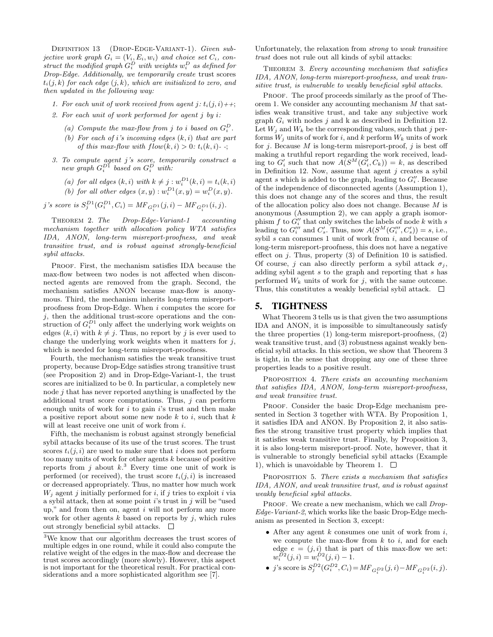DEFINITION 13 (DROP-EDGE-VARIANT-1). Given subjective work graph  $G_i = (V_i, E_i, w_i)$  and choice set  $C_i$ , construct the modified graph  $G_i^D$  with weights  $w_i^D$  as defined for Drop-Edge. Additionally, we temporarily create trust scores  $t_i(j,k)$  for each edge  $(j,k)$ , which are initialized to zero, and then updated in the following way:

- 1. For each unit of work received from agent  $i: t_i(j, i)$ ++;
- 2. For each unit of work performed for agent  $i$  by  $i$ :
	- (a) Compute the max-flow from j to i based on  $G_i^D$ .
	- (b) For each of i's incoming edges  $(k, i)$  that are part of this max-flow with  $flow(k, i) > 0$ :  $t_i(k, i)$ -;
- 3. To compute agent j's score, temporarily construct a new graph  $G_i^{D1}$  based on  $G_i^{D}$  with:

\n- (a) for all edges 
$$
(k, i)
$$
 with  $k \neq j : w_i^{D_1}(k, i) = t_i(k, i)$
\n- (b) for all other edges  $(x, y) : w_i^{D_1}(x, y) = w_i^D(x, y)$ .
\n

j's score is  $S_j^{D1}(G_i^{D1}, C_i) = MF_{G_i^{D1}}(j, i) - MF_{G_i^{D1}}(i, j).$ 

Theorem 2. The Drop-Edge-Variant-1 accounting mechanism together with allocation policy WTA satisfies IDA, ANON, long-term misreport-proofness, and weak transitive trust, and is robust against strongly-beneficial sybil attacks.

Proof. First, the mechanism satisfies IDA because the max-flow between two nodes is not affected when disconnected agents are removed from the graph. Second, the mechanism satisfies ANON because max-flow is anonymous. Third, the mechanism inherits long-term misreportproofness from Drop-Edge. When i computes the score for  $i$ , then the additional trust-score operations and the construction of  $G_i^{D1}$  only affect the underlying work weights on edges  $(k, i)$  with  $k \neq i$ . Thus, no report by j is ever used to change the underlying work weights when it matters for  $j$ , which is needed for long-term misreport-proofness.

Fourth, the mechanism satisfies the weak transitive trust property, because Drop-Edge satisfies strong transitive trust (see Proposition 2) and in Drop-Edge-Variant-1, the trust scores are initialized to be 0. In particular, a completely new node j that has never reported anything is unaffected by the additional trust score computations. Thus,  $j$  can perform enough units of work for  $i$  to gain  $i$ 's trust and then make a positive report about some new node  $k$  to  $i$ , such that  $k$ will at least receive one unit of work from  $i$ .

Fifth, the mechanism is robust against strongly beneficial sybil attacks because of its use of the trust scores. The trust scores  $t_i(i, i)$  are used to make sure that i does not perform too many units of work for other agents k because of positive reports from j about  $k^3$ . Every time one unit of work is performed (or received), the trust score  $t_i(i, i)$  is increased or decreased appropriately. Thus, no matter how much work  $W_i$  agent j initially performed for i, if j tries to exploit i via a sybil attack, then at some point  $i$ 's trust in  $j$  will be "used" up," and from then on, agent  $i$  will not perform any more work for other agents  $k$  based on reports by  $j$ , which rules out strongly beneficial sybil attacks.  $\Box$ 

Unfortunately, the relaxation from strong to weak transitive trust does not rule out all kinds of sybil attacks:

THEOREM 3. Every accounting mechanism that satisfies IDA, ANON, long-term misreport-proofness, and weak transitive trust, is vulnerable to weakly beneficial sybil attacks.

PROOF. The proof proceeds similarly as the proof of Theorem 1. We consider any accounting mechanism M that satisfies weak transitive trust, and take any subjective work graph  $G_i$  with nodes j and k as described in Definition 12. Let  $W_i$  and  $W_k$  be the corresponding values, such that j performs  $W_i$  units of work for i, and k perform  $W_k$  units of work for  $j$ . Because  $M$  is long-term misreport-proof,  $j$  is best off making a truthful report regarding the work received, leading to  $G_i'$  such that now  $\overline{A(S^M(G_i', C_k))} = k$ , as described in Definition 12. Now, assume that agent  $j$  creates a sybil agent s which is added to the graph, leading to  $G_i''$ . Because of the independence of disconnected agents (Assumption 1), this does not change any of the scores and thus, the result of the allocation policy also does not change. Because M is anonymous (Assumption 2), we can apply a graph isomorphism  $f$  to  $G''_i$  that only switches the labels of node  $k$  with  $s$ leading to  $G_i'''$  and  $C_s'$ . Thus, now  $A(S^M(G_i''', C_s')) = s$ , i.e., sybil  $s$  can consumes 1 unit of work from  $i$ , and because of long-term misreport-proofness, this does not have a negative effect on  $j$ . Thus, property  $(3)$  of Definition 10 is satisfied. Of course, j can also directly perform a sybil attack  $\sigma_i$ , adding sybil agent s to the graph and reporting that s has performed  $W_k$  units of work for j, with the same outcome. Thus, this constitutes a weakly beneficial sybil attack.  $\Box$ 

## 5. TIGHTNESS

What Theorem 3 tells us is that given the two assumptions IDA and ANON, it is impossible to simultaneously satisfy the three properties (1) long-term misreport-proofness, (2) weak transitive trust, and (3) robustness against weakly beneficial sybil attacks. In this section, we show that Theorem 3 is tight, in the sense that dropping any one of these three properties leads to a positive result.

PROPOSITION 4. There exists an accounting mechanism that satisfies IDA, ANON, long-term misreport-proofness, and weak transitive trust.

PROOF. Consider the basic Drop-Edge mechanism presented in Section 3 together with WTA. By Proposition 1, it satisfies IDA and ANON. By Proposition 2, it also satisfies the strong transitive trust property which implies that it satisfies weak transitive trust. Finally, by Proposition 3, it is also long-term misreport-proof. Note, however, that it is vulnerable to strongly beneficial sybil attacks (Example 1), which is unavoidable by Theorem 1.  $\Box$ 

PROPOSITION 5. There exists a mechanism that satisfies IDA, ANON, and weak transitive trust, and is robust against weakly beneficial sybil attacks.

PROOF. We create a new mechanism, which we call *Drop*-Edge-Variant-2, which works like the basic Drop-Edge mechanism as presented in Section 3, except:

- After any agent  $k$  consumes one unit of work from  $i$ , we compute the max-flow from  $k$  to  $i$ , and for each edge  $e = (j, i)$  that is part of this max-flow we set:  $w_i^{D2}(j,i) = w_i^{D2}(j,i) - 1.$
- j's score is  $S_j^{D2}(G_i^{D2}, C_i) = M F_{G_i^{D2}}(j, i) M F_{G_i^{D2}}(i, j)$ .

<sup>3</sup>We know that our algorithm decreases the trust scores of multiple edges in one round, while it could also compute the relative weight of the edges in the max-flow and decrease the trust scores accordingly (more slowly). However, this aspect is not important for the theoretical result. For practical considerations and a more sophisticated algorithm see [7].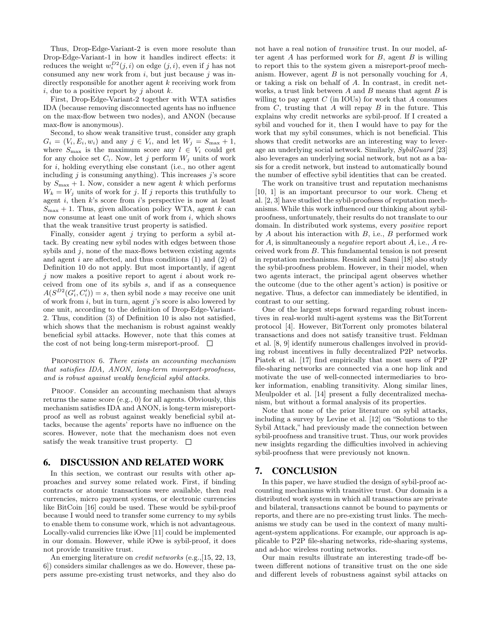Thus, Drop-Edge-Variant-2 is even more resolute than Drop-Edge-Variant-1 in how it handles indirect effects: it reduces the weight  $w_i^{D2}(j, i)$  on edge  $(j, i)$ , even if j has not consumed any new work from  $i$ , but just because  $j$  was indirectly responsible for another agent k receiving work from i, due to a positive report by j about  $k$ .

First, Drop-Edge-Variant-2 together with WTA satisfies IDA (because removing disconnected agents has no influence on the max-flow between two nodes), and ANON (because max-flow is anonymous).

Second, to show weak transitive trust, consider any graph  $G_i = (V_i, E_i, w_i)$  and any  $j \in V_i$ , and let  $W_j = S_{\text{max}} + 1$ , where  $S_{\text{max}}$  is the maximum score any  $l \in V_i$  could get for any choice set  $C_i$ . Now, let j perform  $W_j$  units of work for i, holding everything else constant (i.e., no other agent including  $j$  is consuming anything). This increases  $j$ 's score by  $S_{\text{max}} + 1$ . Now, consider a new agent k which performs  $W_k = W_j$  units of work for j. If j reports this truthfully to agent  $i$ , then  $k$ 's score from  $i$ 's perspective is now at least  $S_{\text{max}} + 1$ . Thus, given allocation policy WTA, agent k can now consume at least one unit of work from  $i$ , which shows that the weak transitive trust property is satisfied.

Finally, consider agent  $j$  trying to perform a sybil attack. By creating new sybil nodes with edges between those sybils and  $j$ , none of the max-flows between existing agents and agent i are affected, and thus conditions  $(1)$  and  $(2)$  of Definition 10 do not apply. But most importantly, if agent  $j$  now makes a positive report to agent  $i$  about work received from one of its sybils s, and if as a consequence  $A(S^{D2}(G'_i, C'_i)) = s$ , then sybil node s may receive one unit of work from  $i$ , but in turn, agent  $j$ 's score is also lowered by one unit, according to the definition of Drop-Edge-Variant-2. Thus, condition (3) of Definition 10 is also not satisfied, which shows that the mechanism is robust against weakly beneficial sybil attacks. However, note that this comes at the cost of not being long-term misreport-proof.  $\square$ 

#### PROPOSITION 6. There exists an accounting mechanism that satisfies IDA, ANON, long-term misreport-proofness, and is robust against weakly beneficial sybil attacks.

PROOF. Consider an accounting mechanism that always returns the same score (e.g., 0) for all agents. Obviously, this mechanism satisfies IDA and ANON, is long-term misreportproof as well as robust against weakly beneficial sybil attacks, because the agents' reports have no influence on the scores. However, note that the mechanism does not even satisfy the weak transitive trust property.  $\Box$ 

## 6. DISCUSSION AND RELATED WORK

In this section, we contrast our results with other approaches and survey some related work. First, if binding contracts or atomic transactions were available, then real currencies, micro payment systems, or electronic currencies like BitCoin [16] could be used. These would be sybil-proof because I would need to transfer some currency to my sybils to enable them to consume work, which is not advantageous. Locally-valid currencies like iOwe [11] could be implemented in our domain. However, while iOwe is sybil-proof, it does not provide transitive trust.

An emerging literature on *credit networks* (e.g., [15, 22, 13, 6]) considers similar challenges as we do. However, these papers assume pre-existing trust networks, and they also do not have a real notion of transitive trust. In our model, after agent  $A$  has performed work for  $B$ , agent  $B$  is willing to report this to the system given a misreport-proof mechanism. However, agent  $B$  is not personally vouching for  $A$ , or taking a risk on behalf of A. In contrast, in credit networks, a trust link between  $A$  and  $B$  means that agent  $B$  is willing to pay agent  $C$  (in IOUs) for work that  $A$  consumes from  $C$ , trusting that  $A$  will repay  $B$  in the future. This explains why credit networks are sybil-proof. If I created a sybil and vouched for it, then I would have to pay for the work that my sybil consumes, which is not beneficial. This shows that credit networks are an interesting way to leverage an underlying social network. Similarly, SybilGuard [23] also leverages an underlying social network, but not as a basis for a credit network, but instead to automatically bound the number of effective sybil identities that can be created.

The work on transitive trust and reputation mechanisms [10, 1] is an important precursor to our work. Cheng et al. [2, 3] have studied the sybil-proofness of reputation mechanisms. While this work influenced our thinking about sybilproofness, unfortunately, their results do not translate to our domain. In distributed work systems, every positive report by  $A$  about his interaction with  $B$ , i.e.,  $B$  performed work for  $A$ , is simultaneously a *negative* report about  $A$ , i.e.,  $A$  received work from B. This fundamental tension is not present in reputation mechanisms. Resnick and Sami [18] also study the sybil-proofness problem. However, in their model, when two agents interact, the principal agent observes whether the outcome (due to the other agent's action) is positive or negative. Thus, a defector can immediately be identified, in contrast to our setting.

One of the largest steps forward regarding robust incentives in real-world multi-agent systems was the BitTorrent protocol [4]. However, BitTorrent only promotes bilateral transactions and does not satisfy transitive trust. Feldman et al. [8, 9] identify numerous challenges involved in providing robust incentives in fully decentralized P2P networks. Piatek et al. [17] find empirically that most users of P2P file-sharing networks are connected via a one hop link and motivate the use of well-connected intermediaries to broker information, enabling transitivity. Along similar lines, Meulpolder et al. [14] present a fully decentralized mechanism, but without a formal analysis of its properties.

Note that none of the prior literature on sybil attacks, including a survey by Levine et al. [12] on "Solutions to the Sybil Attack," had previously made the connection between sybil-proofness and transitive trust. Thus, our work provides new insights regarding the difficulties involved in achieving sybil-proofness that were previously not known.

# 7. CONCLUSION

In this paper, we have studied the design of sybil-proof accounting mechanisms with transitive trust. Our domain is a distributed work system in which all transactions are private and bilateral, transactions cannot be bound to payments or reports, and there are no pre-existing trust links. The mechanisms we study can be used in the context of many multiagent-system applications. For example, our approach is applicable to P2P file-sharing networks, ride-sharing systems, and ad-hoc wireless routing networks.

Our main results illustrate an interesting trade-off between different notions of transitive trust on the one side and different levels of robustness against sybil attacks on